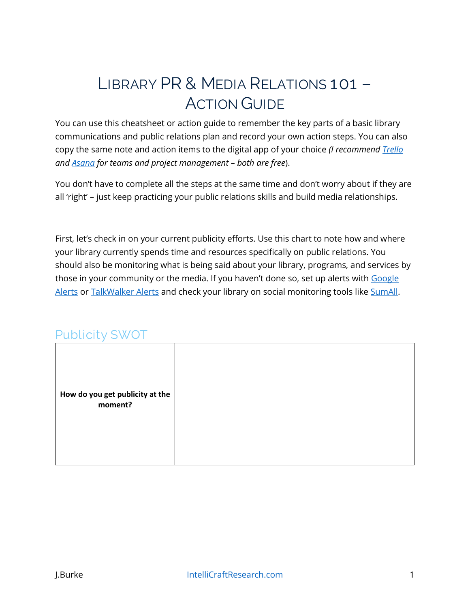# **LIBRARY PR & MEDIA RELATIONS 101 – ACTION GUIDE**

You can use this cheatsheet or action guide to remember the key parts of a basic library communications and public relations plan and record your own action steps. You can also copy the same note and action items to the digital app of your choice *(I recommend [Trello](https://www.intellicraftresearch.com/r/Trello) and [Asana](https://www.intellicraftresearch.com/Asana) for teams and project management – both are free*).

You don't have to complete all the steps at the same time and don't worry about if they are all 'right' – just keep practicing your public relations skills and build media relationships.

First, let's check in on your current publicity efforts. Use this chart to note how and where your library currently spends time and resources specifically on public relations. You should also be monitoring what is being said about your library, programs, and services by those in your community or the media. If you haven't done so, set up alerts with Google [Alerts](https://www.google.com/alerts) or [TalkWalker Alerts](https://www.talkwalker.com/alerts) and check your library on social monitoring tools lik[e SumAll.](https://sumall.com/)

### **Publicity SWOT**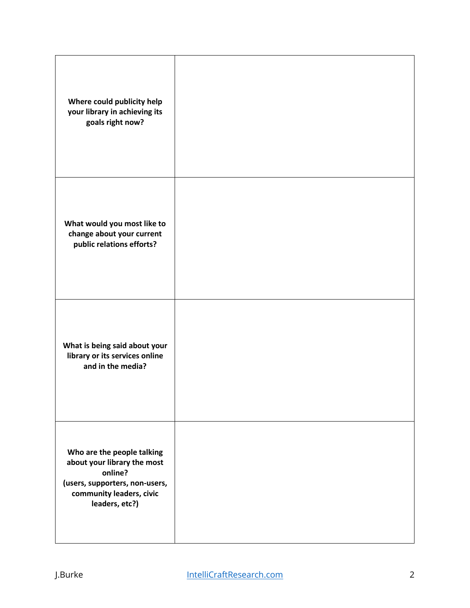| Where could publicity help<br>your library in achieving its<br>goals right now?                                                                      |  |
|------------------------------------------------------------------------------------------------------------------------------------------------------|--|
| What would you most like to<br>change about your current<br>public relations efforts?                                                                |  |
| What is being said about your<br>library or its services online<br>and in the media?                                                                 |  |
| Who are the people talking<br>about your library the most<br>online?<br>(users, supporters, non-users,<br>community leaders, civic<br>leaders, etc?) |  |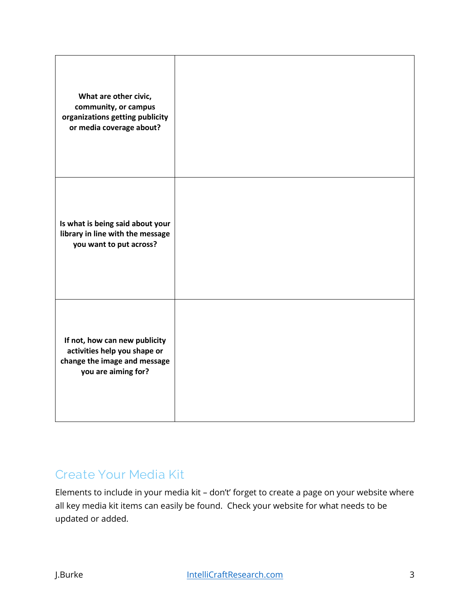| What are other civic,<br>community, or campus<br>organizations getting publicity<br>or media coverage about?         |  |
|----------------------------------------------------------------------------------------------------------------------|--|
| Is what is being said about your<br>library in line with the message<br>you want to put across?                      |  |
| If not, how can new publicity<br>activities help you shape or<br>change the image and message<br>you are aiming for? |  |

## **Create Your Media Kit**

Elements to include in your media kit – don't' forget to create a page on your website where all key media kit items can easily be found. Check your website for what needs to be updated or added.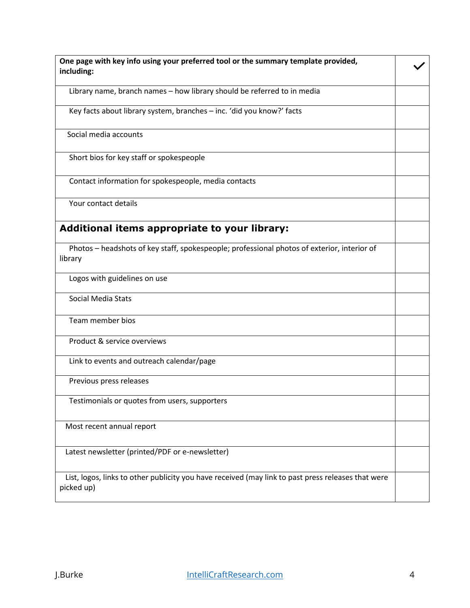| One page with key info using your preferred tool or the summary template provided,                               |  |
|------------------------------------------------------------------------------------------------------------------|--|
| including:                                                                                                       |  |
|                                                                                                                  |  |
| Library name, branch names - how library should be referred to in media                                          |  |
| Key facts about library system, branches - inc. 'did you know?' facts                                            |  |
| Social media accounts                                                                                            |  |
| Short bios for key staff or spokespeople                                                                         |  |
| Contact information for spokespeople, media contacts                                                             |  |
| Your contact details                                                                                             |  |
| Additional items appropriate to your library:                                                                    |  |
| Photos - headshots of key staff, spokespeople; professional photos of exterior, interior of                      |  |
| library                                                                                                          |  |
| Logos with guidelines on use                                                                                     |  |
| <b>Social Media Stats</b>                                                                                        |  |
| Team member bios                                                                                                 |  |
| Product & service overviews                                                                                      |  |
| Link to events and outreach calendar/page                                                                        |  |
| Previous press releases                                                                                          |  |
| Testimonials or quotes from users, supporters                                                                    |  |
| Most recent annual report                                                                                        |  |
| Latest newsletter (printed/PDF or e-newsletter)                                                                  |  |
| List, logos, links to other publicity you have received (may link to past press releases that were<br>picked up) |  |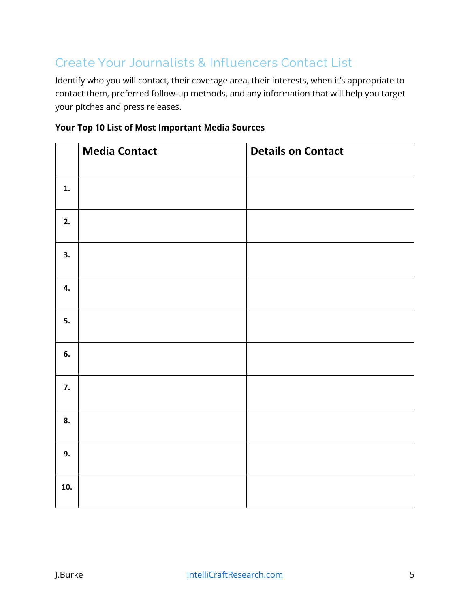# **Create Your Journalists & Influencers Contact List**

Identify who you will contact, their coverage area, their interests, when it's appropriate to contact them, preferred follow-up methods, and any information that will help you target your pitches and press releases.

|  |  | <b>Your Top 10 List of Most Important Media Sources</b> |  |
|--|--|---------------------------------------------------------|--|
|  |  |                                                         |  |

|     | <b>Media Contact</b> | <b>Details on Contact</b> |
|-----|----------------------|---------------------------|
|     |                      |                           |
| 1.  |                      |                           |
| 2.  |                      |                           |
| 3.  |                      |                           |
| 4.  |                      |                           |
| 5.  |                      |                           |
| 6.  |                      |                           |
| 7.  |                      |                           |
| 8.  |                      |                           |
| 9.  |                      |                           |
| 10. |                      |                           |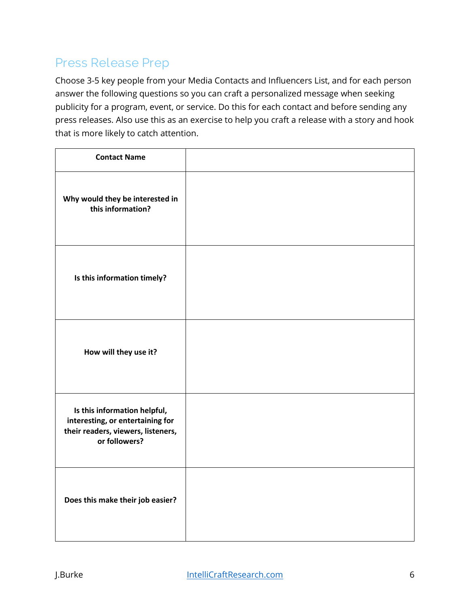# **Press Release Prep**

Choose 3-5 key people from your Media Contacts and Influencers List, and for each person answer the following questions so you can craft a personalized message when seeking publicity for a program, event, or service. Do this for each contact and before sending any press releases. Also use this as an exercise to help you craft a release with a story and hook that is more likely to catch attention.

| <b>Contact Name</b>                                                                                                     |  |
|-------------------------------------------------------------------------------------------------------------------------|--|
| Why would they be interested in<br>this information?                                                                    |  |
| Is this information timely?                                                                                             |  |
| How will they use it?                                                                                                   |  |
| Is this information helpful,<br>interesting, or entertaining for<br>their readers, viewers, listeners,<br>or followers? |  |
| Does this make their job easier?                                                                                        |  |